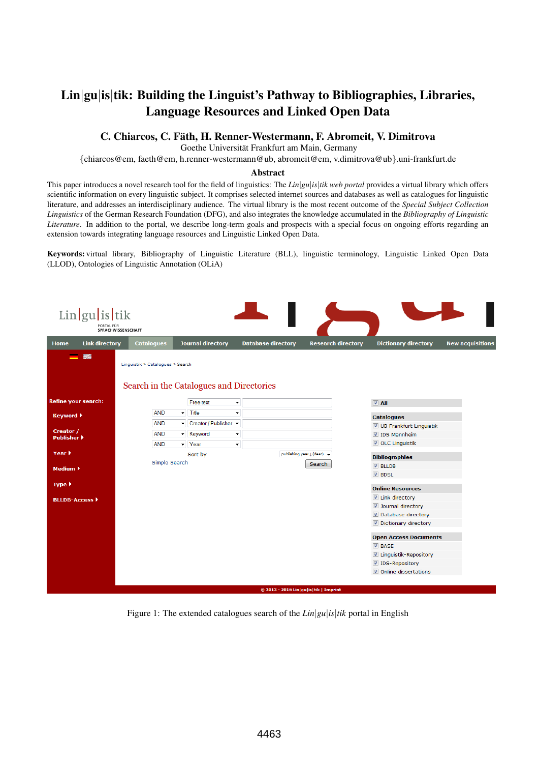# Lin|gu|is|tik: Building the Linguist's Pathway to Bibliographies, Libraries, Language Resources and Linked Open Data

## C. Chiarcos, C. Fath, H. Renner-Westermann, F. Abromeit, V. Dimitrova ¨

Goethe Universität Frankfurt am Main, Germany

{chiarcos@em, faeth@em, h.renner-westermann@ub, abromeit@em, v.dimitrova@ub}.uni-frankfurt.de

#### Abstract

This paper introduces a novel research tool for the field of linguistics: The *Lin*|*gu*|*is*|*tik web portal* provides a virtual library which offers scientific information on every linguistic subject. It comprises selected internet sources and databases as well as catalogues for linguistic literature, and addresses an interdisciplinary audience. The virtual library is the most recent outcome of the *Special Subject Collection Linguistics* of the German Research Foundation (DFG), and also integrates the knowledge accumulated in the *Bibliography of Linguistic Literature*. In addition to the portal, we describe long-term goals and prospects with a special focus on ongoing efforts regarding an extension towards integrating language resources and Linguistic Linked Open Data.

Keywords: virtual library, Bibliography of Linguistic Literature (BLL), linguistic terminology, Linguistic Linked Open Data (LLOD), Ontologies of Linguistic Annotation (OLiA)

| $Lin gu $ is tik<br>PORTAL FÜR<br>SPRACHWISSENSCHAFT                              |                   |  |                             |                           |                                             |  |                              |                         |
|-----------------------------------------------------------------------------------|-------------------|--|-----------------------------|---------------------------|---------------------------------------------|--|------------------------------|-------------------------|
| <b>Link directory</b><br><b>Home</b>                                              | <b>Catalogues</b> |  | <b>Journal directory</b>    | <b>Database directory</b> | <b>Research directory</b>                   |  | <b>Dictionary directory</b>  | <b>New acquisitions</b> |
| 颚<br>Linguistik » Catalogues » Search<br>Search in the Catalogues and Directories |                   |  |                             |                           |                                             |  |                              |                         |
| <b>Refine your search:</b>                                                        |                   |  | Free text                   | $\blacktriangledown$      |                                             |  | $\nabla$ All                 |                         |
| <b>Keyword ▶</b>                                                                  | <b>AND</b>        |  | $\blacktriangleright$ Title | $\overline{\phantom{a}}$  |                                             |  | <b>Catalogues</b>            |                         |
| Creator /                                                                         | <b>AND</b>        |  | ▼ Creator / Publisher ▼     |                           |                                             |  | UB Frankfurt Linguistik      |                         |
| <b>Publisher ▶</b>                                                                | <b>AND</b>        |  | - Keyword                   | ۰                         |                                             |  | <b>7</b> IDS Mannheim        |                         |
|                                                                                   | <b>AND</b>        |  | $\blacktriangleright$ Year  | $\blacktriangledown$      |                                             |  | OLC Linguistik               |                         |
| Year $\blacktriangleright$                                                        | Sort by           |  |                             |                           | publishing year [ (desc) $\rightarrow$      |  | <b>Bibliographies</b>        |                         |
| Medium $\blacktriangleright$                                                      | Simple Search     |  |                             |                           | Search                                      |  | $V$ BLLDB                    |                         |
|                                                                                   |                   |  |                             |                           |                                             |  | $\nabla$ BDSL                |                         |
| Type $\blacktriangleright$                                                        |                   |  |                             |                           |                                             |  | <b>Online Resources</b>      |                         |
| <b>BLLDB-Access ▶</b>                                                             |                   |  |                             |                           |                                             |  | Link directory               |                         |
|                                                                                   |                   |  |                             |                           |                                             |  | Journal directory            |                         |
|                                                                                   |                   |  |                             |                           |                                             |  | Database directory           |                         |
|                                                                                   |                   |  |                             |                           |                                             |  | Dictionary directory         |                         |
|                                                                                   |                   |  |                             |                           |                                             |  | <b>Open Access Documents</b> |                         |
|                                                                                   |                   |  |                             |                           |                                             |  | $\nabla$ BASE                |                         |
|                                                                                   |                   |  |                             |                           |                                             |  | Linguistik-Repository        |                         |
|                                                                                   |                   |  |                             |                           |                                             |  | <b>D</b> IDS-Repository      |                         |
|                                                                                   |                   |  |                             |                           |                                             |  | Online dissertations         |                         |
|                                                                                   |                   |  |                             |                           |                                             |  |                              |                         |
|                                                                                   |                   |  |                             |                           | © 2013 - 2016 Lin   gu   is   tik   Imprint |  |                              |                         |

Figure 1: The extended catalogues search of the *Lin*|*gu*|*is*|*tik* portal in English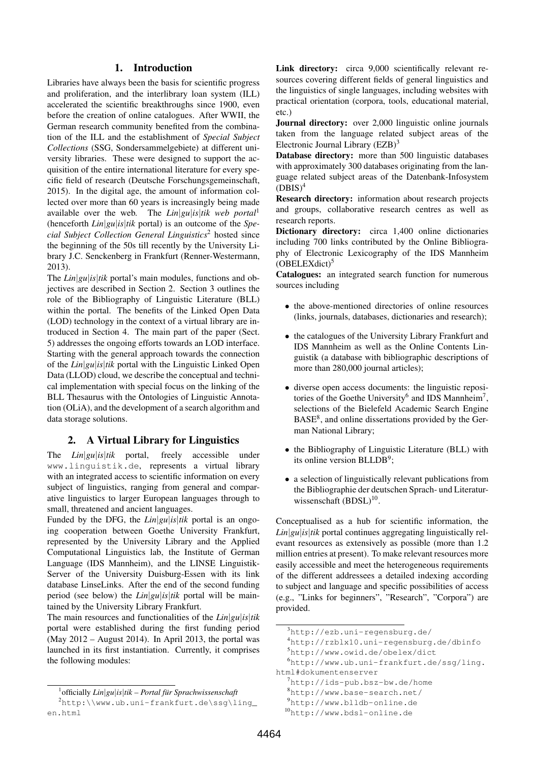### 1. Introduction

Libraries have always been the basis for scientific progress and proliferation, and the interlibrary loan system (ILL) accelerated the scientific breakthroughs since 1900, even before the creation of online catalogues. After WWII, the German research community benefited from the combination of the ILL and the establishment of *Special Subject Collections* (SSG, Sondersammelgebiete) at different university libraries. These were designed to support the acquisition of the entire international literature for every specific field of research (Deutsche Forschungsgemeinschaft, 2015). In the digital age, the amount of information collected over more than 60 years is increasingly being made available over the web. The *Lin*|*gu*|*is*|*tik web portal*<sup>1</sup> (henceforth *Lin*|*gu*|*is*|*tik* portal) is an outcome of the *Special Subject Collection General Linguistics*<sup>2</sup> hosted since the beginning of the 50s till recently by the University Library J.C. Senckenberg in Frankfurt (Renner-Westermann, 2013).

The *Lin*|*gu*|*is*|*tik* portal's main modules, functions and objectives are described in Section 2. Section 3 outlines the role of the Bibliography of Linguistic Literature (BLL) within the portal. The benefits of the Linked Open Data (LOD) technology in the context of a virtual library are introduced in Section 4. The main part of the paper (Sect. 5) addresses the ongoing efforts towards an LOD interface. Starting with the general approach towards the connection of the *Lin*|*gu*|*is*|*tik* portal with the Linguistic Linked Open Data (LLOD) cloud, we describe the conceptual and technical implementation with special focus on the linking of the BLL Thesaurus with the Ontologies of Linguistic Annotation (OLiA), and the development of a search algorithm and data storage solutions.

## 2. A Virtual Library for Linguistics

The *Lin*|*gu*|*is*|*tik* portal, freely accessible under www.linguistik.de, represents a virtual library with an integrated access to scientific information on every subject of linguistics, ranging from general and comparative linguistics to larger European languages through to small, threatened and ancient languages.

Funded by the DFG, the *Lin*|*gu*|*is*|*tik* portal is an ongoing cooperation between Goethe University Frankfurt, represented by the University Library and the Applied Computational Linguistics lab, the Institute of German Language (IDS Mannheim), and the LINSE Linguistik-Server of the University Duisburg-Essen with its link database LinseLinks. After the end of the second funding period (see below) the *Lin*|*gu*|*is*|*tik* portal will be maintained by the University Library Frankfurt.

The main resources and functionalities of the *Lin*|*gu*|*is*|*tik* portal were established during the first funding period (May 2012 – August 2014). In April 2013, the portal was launched in its first instantiation. Currently, it comprises the following modules:

Link directory: circa 9,000 scientifically relevant resources covering different fields of general linguistics and the linguistics of single languages, including websites with practical orientation (corpora, tools, educational material, etc.)

Journal directory: over 2,000 linguistic online journals taken from the language related subject areas of the Electronic Journal Library (EZB)<sup>3</sup>

Database directory: more than 500 linguistic databases with approximately 300 databases originating from the language related subject areas of the Datenbank-Infosystem  $(DBIS)^4$ 

Research directory: information about research projects and groups, collaborative research centres as well as research reports.

Dictionary directory: circa 1,400 online dictionaries including 700 links contributed by the Online Bibliography of Electronic Lexicography of the IDS Mannheim  $(OBELEXdict)^5$ 

Catalogues: an integrated search function for numerous sources including

- the above-mentioned directories of online resources (links, journals, databases, dictionaries and research);
- the catalogues of the University Library Frankfurt and IDS Mannheim as well as the Online Contents Linguistik (a database with bibliographic descriptions of more than 280,000 journal articles);
- diverse open access documents: the linguistic repositories of the Goethe University<sup>6</sup> and IDS Mannheim<sup>7</sup>, selections of the Bielefeld Academic Search Engine BASE<sup>8</sup>, and online dissertations provided by the German National Library;
- the Bibliography of Linguistic Literature (BLL) with its online version BLLDB<sup>9</sup>;
- a selection of linguistically relevant publications from the Bibliographie der deutschen Sprach- und Literaturwissenschaft  $(BDSL)^{10}$ .

Conceptualised as a hub for scientific information, the *Lin*|*gu*|*is*|*tik* portal continues aggregating linguistically relevant resources as extensively as possible (more than 1.2 million entries at present). To make relevant resources more easily accessible and meet the heterogeneous requirements of the different addressees a detailed indexing according to subject and language and specific possibilities of access (e.g., "Links for beginners", "Research", "Corpora") are provided.

<sup>&</sup>lt;sup>1</sup> officially  $Lin|gu|$ *is*|*tik – Portal für Sprachwissenschaft* 

 $^{2}$ http:\\www.ub.uni-frankfurt.de\ssg\ling\_ en.html

<sup>3</sup>http://ezb.uni-regensburg.de/

<sup>4</sup>http://rzblx10.uni-regensburg.de/dbinfo

<sup>5</sup>http://www.owid.de/obelex/dict

<sup>6</sup>http://www.ub.uni-frankfurt.de/ssg/ling. html#dokumentenserver

 $7$ http://ids-pub.bsz-bw.de/home

<sup>8</sup>http://www.base-search.net/

<sup>9</sup>http://www.blldb-online.de

<sup>10</sup>http://www.bdsl-online.de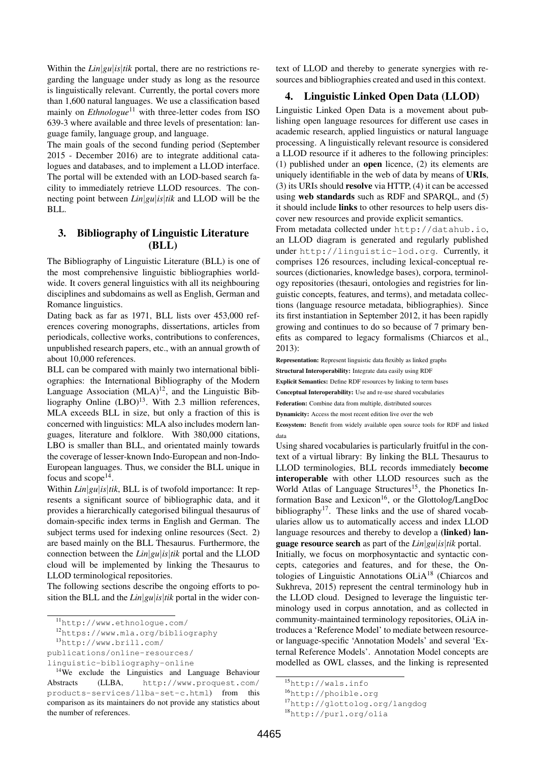Within the *Lin*|*gu*|*is*|*tik* portal, there are no restrictions regarding the language under study as long as the resource is linguistically relevant. Currently, the portal covers more than 1,600 natural languages. We use a classification based mainly on *Ethnologue*<sup>11</sup> with three-letter codes from ISO 639-3 where available and three levels of presentation: language family, language group, and language.

The main goals of the second funding period (September 2015 - December 2016) are to integrate additional catalogues and databases, and to implement a LLOD interface. The portal will be extended with an LOD-based search facility to immediately retrieve LLOD resources. The connecting point between *Lin*|*gu*|*is*|*tik* and LLOD will be the BLL.

## 3. Bibliography of Linguistic Literature (BLL)

The Bibliography of Linguistic Literature (BLL) is one of the most comprehensive linguistic bibliographies worldwide. It covers general linguistics with all its neighbouring disciplines and subdomains as well as English, German and Romance linguistics.

Dating back as far as 1971, BLL lists over 453,000 references covering monographs, dissertations, articles from periodicals, collective works, contributions to conferences, unpublished research papers, etc., with an annual growth of about 10,000 references.

BLL can be compared with mainly two international bibliographies: the International Bibliography of the Modern Language Association  $(MLA)^{12}$ , and the Linguistic Bibliography Online  $(LBO)^{13}$ . With 2.3 million references, MLA exceeds BLL in size, but only a fraction of this is concerned with linguistics: MLA also includes modern languages, literature and folklore. With 380,000 citations, LBO is smaller than BLL, and orientated mainly towards the coverage of lesser-known Indo-European and non-Indo-European languages. Thus, we consider the BLL unique in focus and  $\text{scope}^{14}$ .

Within *Lin*|*gu*|*is*|*tik*, BLL is of twofold importance: It represents a significant source of bibliographic data, and it provides a hierarchically categorised bilingual thesaurus of domain-specific index terms in English and German. The subject terms used for indexing online resources (Sect. 2) are based mainly on the BLL Thesaurus. Furthermore, the connection between the *Lin*|*gu*|*is*|*tik* portal and the LLOD cloud will be implemented by linking the Thesaurus to LLOD terminological repositories.

The following sections describe the ongoing efforts to position the BLL and the *Lin*|*gu*|*is*|*tik* portal in the wider con-

<sup>12</sup>https://www.mla.org/bibliography

<sup>13</sup>http://www.brill.com/

publications/online-resources/

text of LLOD and thereby to generate synergies with resources and bibliographies created and used in this context.

## 4. Linguistic Linked Open Data (LLOD)

Linguistic Linked Open Data is a movement about publishing open language resources for different use cases in academic research, applied linguistics or natural language processing. A linguistically relevant resource is considered a LLOD resource if it adheres to the following principles: (1) published under an open licence, (2) its elements are uniquely identifiable in the web of data by means of URIs, (3) its URIs should resolve via HTTP, (4) it can be accessed using web standards such as RDF and SPARQL, and (5) it should include links to other resources to help users discover new resources and provide explicit semantics.

From metadata collected under http://datahub.io, an LLOD diagram is generated and regularly published under http://linguistic-lod.org. Currently, it comprises 126 resources, including lexical-conceptual resources (dictionaries, knowledge bases), corpora, terminology repositories (thesauri, ontologies and registries for linguistic concepts, features, and terms), and metadata collections (language resource metadata, bibliographies). Since its first instantiation in September 2012, it has been rapidly growing and continues to do so because of 7 primary benefits as compared to legacy formalisms (Chiarcos et al., 2013):

Representation: Represent linguistic data flexibly as linked graphs

Structural Interoperability: Integrate data easily using RDF

Explicit Semantics: Define RDF resources by linking to term bases

Conceptual Interoperability: Use and re-use shared vocabularies

Federation: Combine data from multiple, distributed sources

Dynamicity: Access the most recent edition live over the web

Ecosystem: Benefit from widely available open source tools for RDF and linked data

Using shared vocabularies is particularly fruitful in the context of a virtual library: By linking the BLL Thesaurus to LLOD terminologies, BLL records immediately become interoperable with other LLOD resources such as the World Atlas of Language Structures<sup>15</sup>, the Phonetics Information Base and Lexicon<sup>16</sup>, or the Glottolog/LangDoc bibliography<sup>17</sup>. These links and the use of shared vocabularies allow us to automatically access and index LLOD language resources and thereby to develop a (linked) language resource search as part of the *Lin*|*gu*|*is*|*tik* portal.

Initially, we focus on morphosyntactic and syntactic concepts, categories and features, and for these, the Ontologies of Linguistic Annotations OLiA<sup>18</sup> (Chiarcos and Sukhreva, 2015) represent the central terminology hub in the LLOD cloud. Designed to leverage the linguistic terminology used in corpus annotation, and as collected in community-maintained terminology repositories, OLiA introduces a 'Reference Model' to mediate between resourceor language-specific 'Annotation Models' and several 'External Reference Models'. Annotation Model concepts are modelled as OWL classes, and the linking is represented

<sup>11</sup>http://www.ethnologue.com/

linguistic-bibliography-online

<sup>&</sup>lt;sup>14</sup>We exclude the Linguistics and Language Behaviour Abstracts (LLBA, http://www.proquest.com/ products-services/llba-set-c.html) from this comparison as its maintainers do not provide any statistics about the number of references.

<sup>15</sup>http://wals.info

<sup>16</sup>http://phoible.org

<sup>17</sup>http://glottolog.org/langdog

<sup>18</sup>http://purl.org/olia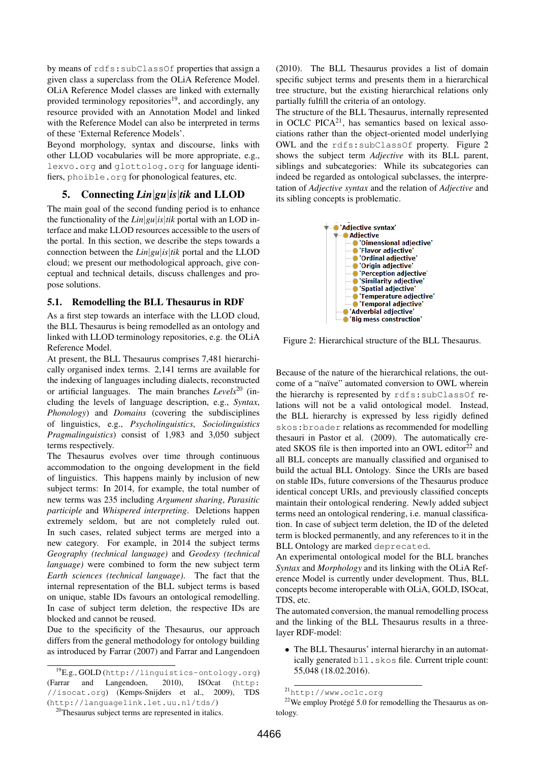by means of rdfs:subClassOf properties that assign a given class a superclass from the OLiA Reference Model. OLiA Reference Model classes are linked with externally provided terminology repositories<sup>19</sup>, and accordingly, any resource provided with an Annotation Model and linked with the Reference Model can also be interpreted in terms of these 'External Reference Models'.

Beyond morphology, syntax and discourse, links with other LLOD vocabularies will be more appropriate, e.g., lexvo.org and glottolog.org for language identifiers, phoible.org for phonological features, etc.

## 5. Connecting *Lin*|*gu*|*is*|*tik* and LLOD

The main goal of the second funding period is to enhance the functionality of the *Lin*|*gu*|*is*|*tik* portal with an LOD interface and make LLOD resources accessible to the users of the portal. In this section, we describe the steps towards a connection between the *Lin*|*gu*|*is*|*tik* portal and the LLOD cloud; we present our methodological approach, give conceptual and technical details, discuss challenges and propose solutions.

## 5.1. Remodelling the BLL Thesaurus in RDF

As a first step towards an interface with the LLOD cloud, the BLL Thesaurus is being remodelled as an ontology and linked with LLOD terminology repositories, e.g. the OLiA Reference Model.

At present, the BLL Thesaurus comprises 7,481 hierarchically organised index terms. 2,141 terms are available for the indexing of languages including dialects, reconstructed or artificial languages. The main branches *Levels*<sup>20</sup> (including the levels of language description, e.g., *Syntax*, *Phonology*) and *Domains* (covering the subdisciplines of linguistics, e.g., *Psycholinguistics*, *Sociolinguistics Pragmalinguistics*) consist of 1,983 and 3,050 subject terms respectively.

The Thesaurus evolves over time through continuous accommodation to the ongoing development in the field of linguistics. This happens mainly by inclusion of new subject terms: In 2014, for example, the total number of new terms was 235 including *Argument sharing*, *Parasitic participle* and *Whispered interpreting*. Deletions happen extremely seldom, but are not completely ruled out. In such cases, related subject terms are merged into a new category. For example, in 2014 the subject terms *Geography (technical language)* and *Geodesy (technical language)* were combined to form the new subject term *Earth sciences (technical language)*. The fact that the internal representation of the BLL subject terms is based on unique, stable IDs favours an ontological remodelling. In case of subject term deletion, the respective IDs are blocked and cannot be reused.

Due to the specificity of the Thesaurus, our approach differs from the general methodology for ontology building as introduced by Farrar (2007) and Farrar and Langendoen

<sup>20</sup>Thesaurus subject terms are represented in italics.

(2010). The BLL Thesaurus provides a list of domain specific subject terms and presents them in a hierarchical tree structure, but the existing hierarchical relations only partially fulfill the criteria of an ontology.

The structure of the BLL Thesaurus, internally represented in OCLC PICA $^{21}$ , has semantics based on lexical associations rather than the object-oriented model underlying OWL and the rdfs:subClassOf property. Figure 2 shows the subject term *Adjective* with its BLL parent, siblings and subcategories: While its subcategories can indeed be regarded as ontological subclasses, the interpretation of *Adjective syntax* and the relation of *Adjective* and its sibling concepts is problematic.



Figure 2: Hierarchical structure of the BLL Thesaurus.

Because of the nature of the hierarchical relations, the outcome of a "naïve" automated conversion to OWL wherein the hierarchy is represented by rdfs:subClassOf relations will not be a valid ontological model. Instead, the BLL hierarchy is expressed by less rigidly defined skos:broader relations as recommended for modelling thesauri in Pastor et al. (2009). The automatically created SKOS file is then imported into an OWL editor<sup>22</sup> and all BLL concepts are manually classified and organised to build the actual BLL Ontology. Since the URIs are based on stable IDs, future conversions of the Thesaurus produce identical concept URIs, and previously classified concepts maintain their ontological rendering. Newly added subject terms need an ontological rendering, i.e. manual classification. In case of subject term deletion, the ID of the deleted term is blocked permanently, and any references to it in the BLL Ontology are marked deprecated.

An experimental ontological model for the BLL branches *Syntax* and *Morphology* and its linking with the OLiA Reference Model is currently under development. Thus, BLL concepts become interoperable with OLiA, GOLD, ISOcat, TDS, etc.

The automated conversion, the manual remodelling process and the linking of the BLL Thesaurus results in a threelayer RDF-model:

• The BLL Thesaurus' internal hierarchy in an automatically generated bll.skos file. Current triple count: 55,048 (18.02.2016).

<sup>19</sup>E.g., GOLD (http://linguistics-ontology.org) (Farrar and Langendoen, 2010), ISOcat (http: //isocat.org) (Kemps-Snijders et al., 2009), TDS (http://languagelink.let.uu.nl/tds/)

<sup>21</sup>http://www.oclc.org

 $22$ We employ Protégé 5.0 for remodelling the Thesaurus as ontology.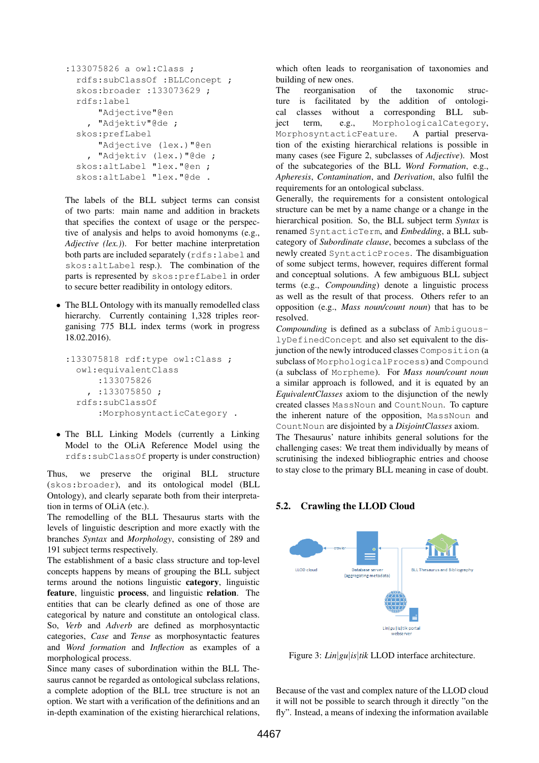```
:133075826 a owl:Class ;
 rdfs:subClassOf :BLLConcept ;
 skos:broader :133073629 ;
  rdfs:label
      "Adjective"@en
     , "Adjektiv"@de ;
  skos:prefLabel
      "Adjective (lex.)"@en
    , "Adjektiv (lex.)"@de ;
 skos:altLabel "lex."@en ;
 skos:altLabel "lex."@de .
```
The labels of the BLL subject terms can consist of two parts: main name and addition in brackets that specifies the context of usage or the perspective of analysis and helps to avoid homonyms (e.g., *Adjective (lex.)*). For better machine interpretation both parts are included separately (rdfs:label and skos:altLabel resp.). The combination of the parts is represented by skos:prefLabel in order to secure better readibility in ontology editors.

• The BLL Ontology with its manually remodelled class hierarchy. Currently containing 1,328 triples reorganising 775 BLL index terms (work in progress 18.02.2016).

```
:133075818 rdf:type owl:Class ;
 owl:equivalentClass
      :133075826
    , :133075850 ;
 rdfs:subClassOf
      :MorphosyntacticCategory .
```
• The BLL Linking Models (currently a Linking Model to the OLiA Reference Model using the rdfs:subClassOf property is under construction)

Thus, we preserve the original BLL structure (skos:broader), and its ontological model (BLL Ontology), and clearly separate both from their interpretation in terms of OLiA (etc.).

The remodelling of the BLL Thesaurus starts with the levels of linguistic description and more exactly with the branches *Syntax* and *Morphology*, consisting of 289 and 191 subject terms respectively.

The establishment of a basic class structure and top-level concepts happens by means of grouping the BLL subject terms around the notions linguistic category, linguistic feature, linguistic process, and linguistic relation. The entities that can be clearly defined as one of those are categorical by nature and constitute an ontological class. So, *Verb* and *Adverb* are defined as morphosyntactic categories, *Case* and *Tense* as morphosyntactic features and *Word formation* and *Inflection* as examples of a morphological process.

Since many cases of subordination within the BLL Thesaurus cannot be regarded as ontological subclass relations, a complete adoption of the BLL tree structure is not an option. We start with a verification of the definitions and an in-depth examination of the existing hierarchical relations,

which often leads to reorganisation of taxonomies and building of new ones.

The reorganisation of the taxonomic structure is facilitated by the addition of ontological classes without a corresponding BLL subject term, e.g., MorphologicalCategory, MorphosyntacticFeature. A partial preservation of the existing hierarchical relations is possible in many cases (see Figure 2, subclasses of *Adjective*). Most of the subcategories of the BLL *Word Formation*, e.g., *Apheresis*, *Contamination*, and *Derivation*, also fulfil the requirements for an ontological subclass.

Generally, the requirements for a consistent ontological structure can be met by a name change or a change in the hierarchical position. So, the BLL subject term *Syntax* is renamed SyntacticTerm, and *Embedding*, a BLL subcategory of *Subordinate clause*, becomes a subclass of the newly created SyntacticProces. The disambiguation of some subject terms, however, requires different formal and conceptual solutions. A few ambiguous BLL subject terms (e.g., *Compounding*) denote a linguistic process as well as the result of that process. Others refer to an opposition (e.g., *Mass noun/count noun*) that has to be resolved.

*Compounding* is defined as a subclass of AmbiguouslyDefinedConcept and also set equivalent to the disjunction of the newly introduced classes Composition (a subclass of MorphologicalProcess) and Compound (a subclass of Morpheme). For *Mass noun/count noun* a similar approach is followed, and it is equated by an *EquivalentClasses* axiom to the disjunction of the newly created classes MassNoun and CountNoun. To capture the inherent nature of the opposition, MassNoun and CountNoun are disjointed by a *DisjointClasses* axiom.

The Thesaurus' nature inhibits general solutions for the challenging cases: We treat them individually by means of scrutinising the indexed bibliographic entries and choose to stay close to the primary BLL meaning in case of doubt.

## 5.2. Crawling the LLOD Cloud



Figure 3: *Lin*|*gu*|*is*|*tik* LLOD interface architecture.

Because of the vast and complex nature of the LLOD cloud it will not be possible to search through it directly "on the fly". Instead, a means of indexing the information available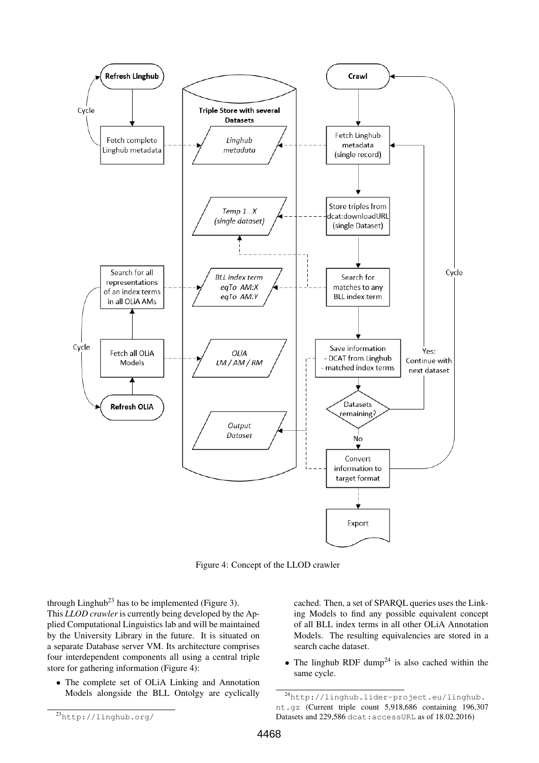

Figure 4: Concept of the LLOD crawler

through Linghub<sup>23</sup> has to be implemented (Figure 3). This *LLOD crawler* is currently being developed by the Applied Computational Linguistics lab and will be maintained by the University Library in the future. It is situated on a separate Database server VM. Its architecture comprises four interdependent components all using a central triple store for gathering information (Figure 4):

• The complete set of OLiA Linking and Annotation Models alongside the BLL Ontolgy are cyclically cached. Then, a set of SPARQL queries uses the Linking Models to find any possible equivalent concept of all BLL index terms in all other OLiA Annotation Models. The resulting equivalencies are stored in a search cache dataset.

• The linghub RDF dump<sup>24</sup> is also cached within the same cycle.

<sup>24</sup>http://linghub.lider-project.eu/linghub. nt.gz (Current triple count 5,918,686 containing 196,307 Datasets and 229,586 dcat:accessURL as of 18.02.2016)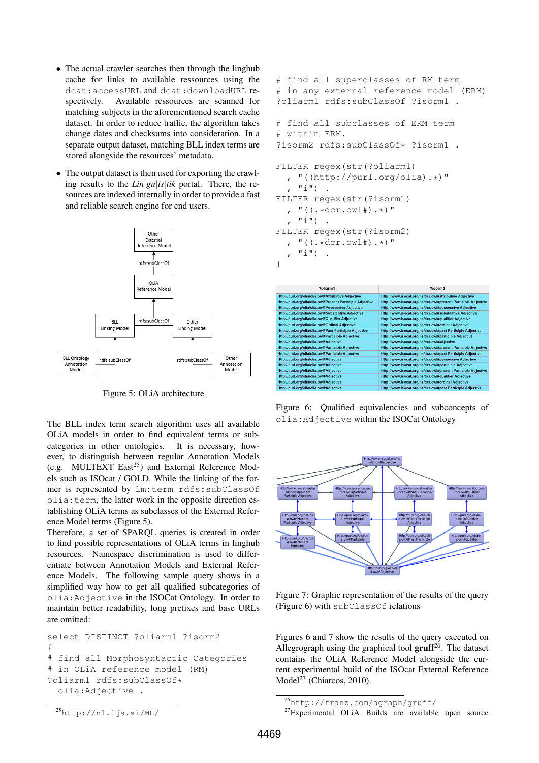- The actual crawler searches then through the linghub cache for links to available ressources using the dcat:accessURL and dcat:downloadURL respectively. Available ressources are scanned for matching subjects in the aforementioned search cache dataset. In order to reduce traffic, the algorithm takes change dates and checksums into consideration. In a separate output dataset, matching BLL index terms are stored alongside the resources' metadata.
- The output dataset is then used for exporting the crawling results to the *Lin*|*gu*|*is*|*tik* portal. There, the resources are indexed internally in order to provide a fast and reliable search engine for end users.



Figure 5: OLiA architecture

The BLL index term search algorithm uses all available OLiA models in order to find equivalent terms or subcategories in other ontologies. It is necessary, however, to distinguish between regular Annotation Models (e.g. MULTEXT East<sup>25</sup>) and External Reference Models such as ISOcat / GOLD. While the linking of the former is represented by lm:term rdfs:subClassOf olia:term, the latter work in the opposite direction establishing OLiA terms as subclasses of the External Reference Model terms (Figure 5).

Therefore, a set of SPARQL queries is created in order to find possible representations of OLiA terms in linghub resources. Namespace discrimination is used to differentiate between Annotation Models and External Reference Models. The following sample query shows in a simplified way how to get all qualified subcategories of olia:Adjective in the ISOCat Ontology. In order to maintain better readability, long prefixes and base URLs are omitted:

```
select DISTINCT ?oliarm1 ?isorm2
{
# find all Morphosyntactic Categories
# in OLiA reference model (RM)
?oliarm1 rdfs:subClassOf*
  olia:Adjective .
```

```
# find all superclasses of RM term
# in any external reference model (ERM)
?oliarm1 rdfs:subClassOf ?isorm1 .
# find all subclasses of ERM term
# within ERM.
?isorm2 rdfs:subClassOf* ?isorm1 .
FILTER regex(str(?oliarm1)
  , "((http://purl.org/olia).*)"
  , "i") .
FILTER regex(str(?isorm1)
  , "((.*dcr.owl#).*)"
   ^{\mathsf{H}}i").
FILTER regex(str(?isorm2)
  , "((.*dcr.owl#).*)"
    "\dot{\perp}").
```

| ?oliarm1                                                   | 2isorm <sub>2</sub>                                           |
|------------------------------------------------------------|---------------------------------------------------------------|
| Http://purl.org/olia/olia.owl#Attributive Adjective        | Http://www.isocat.org/ns/dcr.owl#attributive Adjective        |
| Http://purl.org/olia/olia.owl#Present Participle Adjective | Http://www.isocat.org/ns/dcr.owl#present Participle Adjective |
| Http://purl.org/olia/olia.owl#Possessive Adjective         | Http://www.isocat.org/ns/dcr.owl#possessive Adjective         |
| Http://purl.org/olia/olia.owl#Substantive Adjective        | Http://www.isocat.org/ns/dcr.owl#substantive Adjective        |
| Http://purl.org/olia/olia.owl#Qualifier Adjective          | Http://www.isocat.org/ns/dcr.owl#qualifier Adjective          |
| Http://purl.org/olia/olia.owl#Ordinal Adjective            | Http://www.isocat.org/ns/dcr.owl#ordinal Adjective            |
| Http://purl.org/olia/olia.owl#Past Participle Adjective    | Http://www.isocat.org/ns/dcr.owl#past Participle Adjective    |
| Http://purl.org/olia/olia.owl#Participle Adjective         | Http://www.isocat.org/ns/dcr.owl#participle Adjective         |
| Http://purl.org/olia/olia.owl#Adjective                    | Http://www.isocat.org/ns/dcr.owl#adjective                    |
| Http://purl.org/olia/olia.owl#Participle Adjective         | Http://www.isocat.org/ns/dcr.owl#present Participle Adjective |
| Http://purl.org/olia/olia.owl#Participle Adjective         | Http://www.isocat.org/ns/dcr.owl#past Participle Adjective    |
| Http://purl.org/olia/olia.owl#Adjective                    | Http://www.isocat.org/ns/dcr.owl#possessive Adjective         |
| Http://purl.org/olia/olia.owl#Adjective                    | Http://www.isocat.org/ns/dcr.owl#participle Adjective         |
| Http://purl.org/olia/olia.owl#Adjective                    | Http://www.isocat.org/ns/dcr.owl#present Participle Adjective |
| Http://purl.org/olia/olia.owl#Adjective                    | Http://www.isocat.org/ns/dcr.owl#qualifier Adjective          |
| Http://purl.org/olia/olia.owl#Adjective                    | Http://www.isocat.org/ns/dcr.owl#ordinal Adjective            |
| Http://purl.org/olia/olia.owl#Adjective                    | Http://www.isocat.org/ns/dcr.owl#past Participle Adjective    |

Figure 6: Qualified equivalencies and subconcepts of olia:Adjective within the ISOCat Ontology



Figure 7: Graphic representation of the results of the query (Figure 6) with subClassOf relations

Figures 6 and 7 show the results of the query executed on Allegrograph using the graphical tool  $gruff^{26}$ . The dataset contains the OLiA Reference Model alongside the current experimental build of the ISOcat External Reference Model<sup>27</sup> (Chiarcos, 2010).

}

<sup>26</sup>http://franz.com/agraph/gruff/

<sup>27</sup>Experimental OLiA Builds are available open source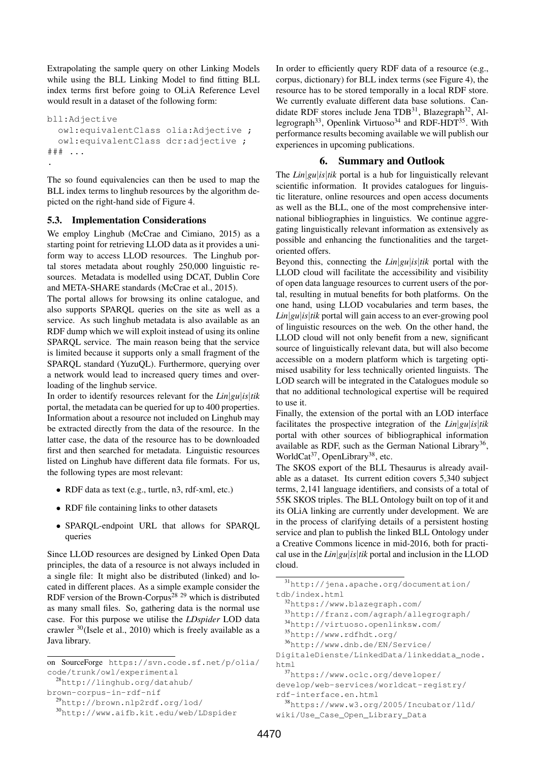Extrapolating the sample query on other Linking Models while using the BLL Linking Model to find fitting BLL index terms first before going to OLiA Reference Level would result in a dataset of the following form:

```
bll:Adjective
  owl:equivalentClass olia:Adjective ;
  owl:equivalentClass dcr:adjective ;
### ...
.
```
The so found equivalencies can then be used to map the BLL index terms to linghub resources by the algorithm depicted on the right-hand side of Figure 4.

## 5.3. Implementation Considerations

We employ Linghub (McCrae and Cimiano, 2015) as a starting point for retrieving LLOD data as it provides a uniform way to access LLOD resources. The Linghub portal stores metadata about roughly 250,000 linguistic resources. Metadata is modelled using DCAT, Dublin Core and META-SHARE standards (McCrae et al., 2015).

The portal allows for browsing its online catalogue, and also supports SPARQL queries on the site as well as a service. As such linghub metadata is also available as an RDF dump which we will exploit instead of using its online SPARQL service. The main reason being that the service is limited because it supports only a small fragment of the SPARQL standard (YuzuQL). Furthermore, querying over a network would lead to increased query times and overloading of the linghub service.

In order to identify resources relevant for the *Lin*|*gu*|*is*|*tik* portal, the metadata can be queried for up to 400 properties. Information about a resource not included on Linghub may be extracted directly from the data of the resource. In the latter case, the data of the resource has to be downloaded first and then searched for metadata. Linguistic resources listed on Linghub have different data file formats. For us, the following types are most relevant:

- RDF data as text (e.g., turtle, n3, rdf-xml, etc.)
- RDF file containing links to other datasets
- SPARQL-endpoint URL that allows for SPARQL queries

Since LLOD resources are designed by Linked Open Data principles, the data of a resource is not always included in a single file: It might also be distributed (linked) and located in different places. As a simple example consider the RDF version of the Brown-Corpus<sup>28</sup> <sup>29</sup> which is distributed as many small files. So, gathering data is the normal use case. For this purpose we utilise the *LDspider* LOD data crawler <sup>30</sup>(Isele et al., 2010) which is freely available as a Java library.

on SourceForge https://svn.code.sf.net/p/olia/ code/trunk/owl/experimental

<sup>28</sup>http://linghub.org/datahub/

```
brown-corpus-in-rdf-nif
```

```
29http://brown.nlp2rdf.org/lod/
```

```
30http://www.aifb.kit.edu/web/LDspider
```
In order to efficiently query RDF data of a resource (e.g., corpus, dictionary) for BLL index terms (see Figure 4), the resource has to be stored temporally in a local RDF store. We currently evaluate different data base solutions. Candidate RDF stores include Jena TDB<sup>31</sup>, Blazegraph<sup>32</sup>, Allegrograph<sup>33</sup>, Openlink Virtuoso<sup>34</sup> and RDF-HDT<sup>35</sup>. With performance results becoming available we will publish our experiences in upcoming publications.

# 6. Summary and Outlook

The *Lin*|*gu*|*is*|*tik* portal is a hub for linguistically relevant scientific information. It provides catalogues for linguistic literature, online resources and open access documents as well as the BLL, one of the most comprehensive international bibliographies in linguistics. We continue aggregating linguistically relevant information as extensively as possible and enhancing the functionalities and the targetoriented offers.

Beyond this, connecting the *Lin*|*gu*|*is*|*tik* portal with the LLOD cloud will facilitate the accessibility and visibility of open data language resources to current users of the portal, resulting in mutual benefits for both platforms. On the one hand, using LLOD vocabularies and term bases, the *Lin*|*gu*|*is*|*tik* portal will gain access to an ever-growing pool of linguistic resources on the web. On the other hand, the LLOD cloud will not only benefit from a new, significant source of linguistically relevant data, but will also become accessible on a modern platform which is targeting optimised usability for less technically oriented linguists. The LOD search will be integrated in the Catalogues module so that no additional technological expertise will be required to use it.

Finally, the extension of the portal with an LOD interface facilitates the prospective integration of the *Lin*|*gu*|*is*|*tik* portal with other sources of bibliographical information available as RDF, such as the German National Library<sup>36</sup>, WorldCat<sup>37</sup>, OpenLibrary<sup>38</sup>, etc.

The SKOS export of the BLL Thesaurus is already available as a dataset. Its current edition covers 5,340 subject terms, 2,141 language identifiers, and consists of a total of 55K SKOS triples. The BLL Ontology built on top of it and its OLiA linking are currently under development. We are in the process of clarifying details of a persistent hosting service and plan to publish the linked BLL Ontology under a Creative Commons licence in mid-2016, both for practical use in the *Lin*|*gu*|*is*|*tik* portal and inclusion in the LLOD cloud.

```
31http://jena.apache.org/documentation/
tdb/index.html
```

```
32https://www.blazegraph.com/
```

```
33http://franz.com/agraph/allegrograph/
```

```
34http://virtuoso.openlinksw.com/
```

```
35http://www.rdfhdt.org/
```

```
36http://www.dnb.de/EN/Service/
```

```
DigitaleDienste/LinkedData/linkeddata_node.
html
```

```
37https://www.oclc.org/developer/
```

```
develop/web-services/worldcat-registry/
rdf-interface.en.html
```

```
38https://www.w3.org/2005/Incubator/lld/
wiki/Use_Case_Open_Library_Data
```